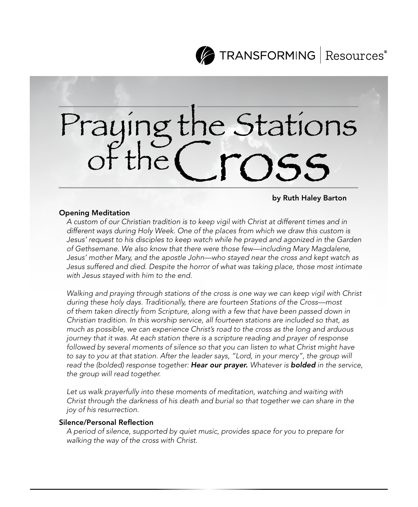

TRANSFORMING Resources®

Praying the Stations of the

#### by Ruth Haley Barton

#### Opening Meditation

*A custom of our Christian tradition is to keep vigil with Christ at different times and in different ways during Holy Week. One of the places from which we draw this custom is Jesus' request to his disciples to keep watch while he prayed and agonized in the Garden of Gethsemane. We also know that there were those few—including Mary Magdalene, Jesus' mother Mary, and the apostle John—who stayed near the cross and kept watch as Jesus suffered and died. Despite the horror of what was taking place, those most intimate with Jesus stayed with him to the end.* 

*Walking and praying through stations of the cross is one way we can keep vigil with Christ during these holy days. Traditionally, there are fourteen Stations of the Cross—most of them taken directly from Scripture, along with a few that have been passed down in Christian tradition. In this worship service, all fourteen stations are included so that, as much as possible, we can experience Christ's road to the cross as the long and arduous journey that it was. At each station there is a scripture reading and prayer of response followed by several moments of silence so that you can listen to what Christ might have*  to say to you at that station. After the leader says, "Lord, in your mercy", the group will *read the (bolded) response together: Hear our prayer. Whatever is bolded in the service, the group will read together.*

Let us walk prayerfully into these moments of meditation, watching and waiting with *Christ through the darkness of his death and burial so that together we can share in the joy of his resurrection.* 

#### Silence/Personal Reflection

*A period of silence, supported by quiet music, provides space for you to prepare for walking the way of the cross with Christ.*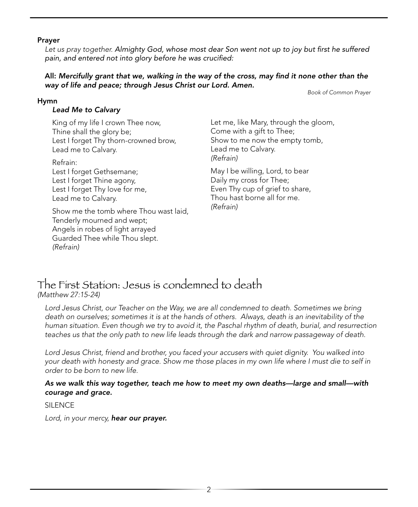#### Prayer

*Let us pray together. Almighty God, whose most dear Son went not up to joy but first he suffered pain, and entered not into glory before he was crucified:*

### All: *Mercifully grant that we, walking in the way of the cross, may find it none other than the way of life and peace; through Jesus Christ our Lord. Amen.*

 *Book of Common Prayer*

### Hymn

### *Lead Me to Calvary*

King of my life I crown Thee now, Thine shall the glory be; Lest I forget Thy thorn-crowned brow, Lead me to Calvary.

Refrain: Lest I forget Gethsemane; Lest I forget Thine agony, Lest I forget Thy love for me, Lead me to Calvary.

Show me the tomb where Thou wast laid, Tenderly mourned and wept; Angels in robes of light arrayed Guarded Thee while Thou slept. *(Refrain)*

Let me, like Mary, through the gloom, Come with a gift to Thee; Show to me now the empty tomb, Lead me to Calvary. *(Refrain)*

May I be willing, Lord, to bear Daily my cross for Thee; Even Thy cup of grief to share, Thou hast borne all for me. *(Refrain)*

## The First Station: Jesus is condemned to death *(Matthew 27:15-24)*

Lord Jesus Christ, our Teacher on the Way, we are all condemned to death. Sometimes we bring *death on ourselves; sometimes it is at the hands of others. Always, death is an inevitability of the human situation. Even though we try to avoid it, the Paschal rhythm of death, burial, and resurrection teaches us that the only path to new life leads through the dark and narrow passageway of death.* 

*Lord Jesus Christ, friend and brother, you faced your accusers with quiet dignity. You walked into your death with honesty and grace. Show me those places in my own life where I must die to self in order to be born to new life.*

### *As we walk this way together, teach me how to meet my own deaths—large and small—with courage and grace.*

### SILENCE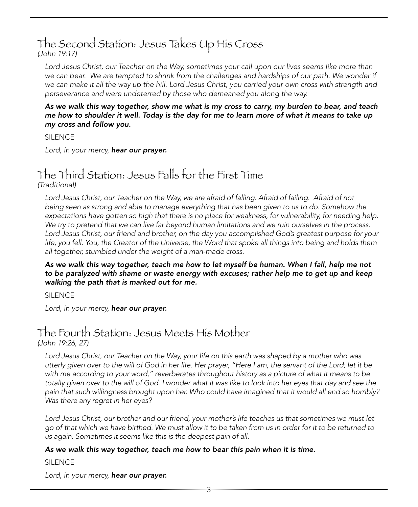## The Second Station: Jesus Takes Up His Cross *(John 19:17)*

Lord Jesus Christ, our Teacher on the Way, sometimes your call upon our lives seems like more than we can bear. We are tempted to shrink from the challenges and hardships of our path. We wonder if we can make it all the way up the hill. Lord Jesus Christ, you carried your own cross with strength and *perseverance and were undeterred by those who demeaned you along the way.*

### *As we walk this way together, show me what is my cross to carry, my burden to bear, and teach me how to shoulder it well. Today is the day for me to learn more of what it means to take up my cross and follow you.*

SILENCE

*Lord, in your mercy, hear our prayer.*

## The Third Station: Jesus Falls for the First Time

*(Traditional)*

*Lord Jesus Christ, our Teacher on the Way, we are afraid of falling. Afraid of failing. Afraid of not being seen as strong and able to manage everything that has been given to us to do. Somehow the expectations have gotten so high that there is no place for weakness, for vulnerability, for needing help. We try to pretend that we can live far beyond human limitations and we ruin ourselves in the process. Lord Jesus Christ, our friend and brother, on the day you accomplished God's greatest purpose for your life, you fell. You, the Creator of the Universe, the Word that spoke all things into being and holds them all together, stumbled under the weight of a man-made cross.*

*As we walk this way together, teach me how to let myself be human. When I fall, help me not to be paralyzed with shame or waste energy with excuses; rather help me to get up and keep walking the path that is marked out for me.* 

SILENCE

*Lord, in your mercy, hear our prayer.*

### The Fourth Station: Jesus Meets His Mother *(John 19:26, 27)*

*Lord Jesus Christ, our Teacher on the Way, your life on this earth was shaped by a mother who was utterly given over to the will of God in her life. Her prayer, "Here I am, the servant of the Lord; let it be with me according to your word," reverberates throughout history as a picture of what it means to be totally given over to the will of God. I wonder what it was like to look into her eyes that day and see the pain that such willingness brought upon her. Who could have imagined that it would all end so horribly? Was there any regret in her eyes?* 

Lord Jesus Christ, our brother and our friend, your mother's life teaches us that sometimes we must let *go of that which we have birthed. We must allow it to be taken from us in order for it to be returned to us again. Sometimes it seems like this is the deepest pain of all.*

### *As we walk this way together, teach me how to bear this pain when it is time.*

SILENCE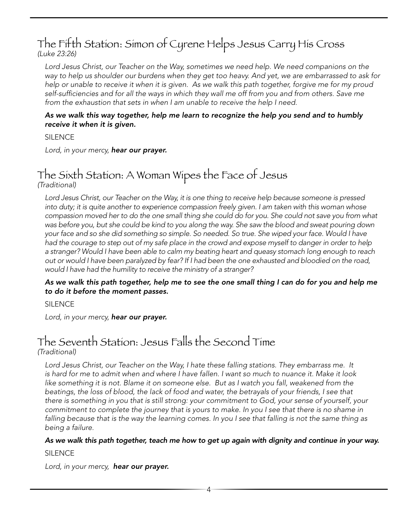## The Fifth Station: Simon of Cyrene Helps Jesus Carry His Cross *(Luke 23:26)*

Lord Jesus Christ, our Teacher on the Way, sometimes we need help. We need companions on the *way to help us shoulder our burdens when they get too heavy. And yet, we are embarrassed to ask for help or unable to receive it when it is given. As we walk this path together, forgive me for my proud self-sufficiencies and for all the ways in which they wall me off from you and from others. Save me from the exhaustion that sets in when I am unable to receive the help I need.*

### *As we walk this way together, help me learn to recognize the help you send and to humbly receive it when it is given.*

SILENCE

*Lord, in your mercy, hear our prayer.*

### The Sixth Station: A Woman Wipes the Face of Jesus *(Traditional)*

*Lord Jesus Christ, our Teacher on the Way, it is one thing to receive help because someone is pressed into duty; it is quite another to experience compassion freely given. I am taken with this woman whose compassion moved her to do the one small thing she could do for you. She could not save you from what was before you, but she could be kind to you along the way. She saw the blood and sweat pouring down your face and so she did something so simple. So needed. So true. She wiped your face. Would I have had the courage to step out of my safe place in the crowd and expose myself to danger in order to help a stranger? Would I have been able to calm my beating heart and queasy stomach long enough to reach out or would I have been paralyzed by fear? If I had been the one exhausted and bloodied on the road, would I have had the humility to receive the ministry of a stranger?*

### *As we walk this path together, help me to see the one small thing I can do for you and help me to do it before the moment passes.*

SILENCE

*Lord, in your mercy, hear our prayer.*

## The Seventh Station: Jesus Falls the Second Time

### *(Traditional)*

*Lord Jesus Christ, our Teacher on the Way, I hate these falling stations. They embarrass me. It is hard for me to admit when and where I have fallen. I want so much to nuance it. Make it look like something it is not. Blame it on someone else. But as I watch you fall, weakened from the beatings, the loss of blood, the lack of food and water, the betrayals of your friends, I see that there is something in you that is still strong: your commitment to God, your sense of yourself, your commitment to complete the journey that is yours to make. In you I see that there is no shame in*  falling because that is the way the learning comes. In you I see that falling is not the same thing as *being a failure.*

### *As we walk this path together, teach me how to get up again with dignity and continue in your way.*

SILENCE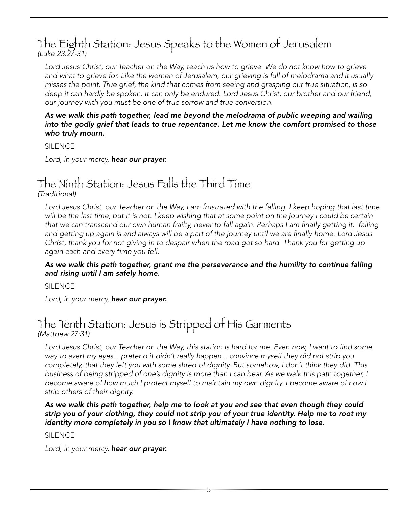## The Eighth Station: Jesus Speaks to the Women of Jerusalem *(Luke 23:27-31)*

*Lord Jesus Christ, our Teacher on the Way, teach us how to grieve. We do not know how to grieve and what to grieve for. Like the women of Jerusalem, our grieving is full of melodrama and it usually misses the point. True grief, the kind that comes from seeing and grasping our true situation, is so deep it can hardly be spoken. It can only be endured. Lord Jesus Christ, our brother and our friend, our journey with you must be one of true sorrow and true conversion.*

### *As we walk this path together, lead me beyond the melodrama of public weeping and wailing into the godly grief that leads to true repentance. Let me know the comfort promised to those who truly mourn.*

SILENCE

*Lord, in your mercy, hear our prayer.*

## The Ninth Station: Jesus Falls the Third Time *(Traditional)*

Lord Jesus Christ, our Teacher on the Way, I am frustrated with the falling. I keep hoping that last time *will be the last time, but it is not. I keep wishing that at some point on the journey I could be certain that we can transcend our own human frailty, never to fall again. Perhaps I am finally getting it: falling and getting up again is and always will be a part of the journey until we are finally home. Lord Jesus Christ, thank you for not giving in to despair when the road got so hard. Thank you for getting up again each and every time you fell.*

### *As we walk this path together, grant me the perseverance and the humility to continue falling and rising until I am safely home.*

SILENCE

*Lord, in your mercy, hear our prayer.*

## The Tenth Station: Jesus is Stripped of His Garments *(Matthew 27:31)*

Lord Jesus Christ, our Teacher on the Way, this station is hard for me. Even now, I want to find some *way to avert my eyes... pretend it didn't really happen... convince myself they did not strip you completely, that they left you with some shred of dignity. But somehow, I don't think they did. This business of being stripped of one's dignity is more than I can bear. As we walk this path together, I*  become aware of how much I protect myself to maintain my own dignity. I become aware of how I *strip others of their dignity.*

*As we walk this path together, help me to look at you and see that even though they could strip you of your clothing, they could not strip you of your true identity. Help me to root my identity more completely in you so I know that ultimately I have nothing to lose.* 

### SILENCE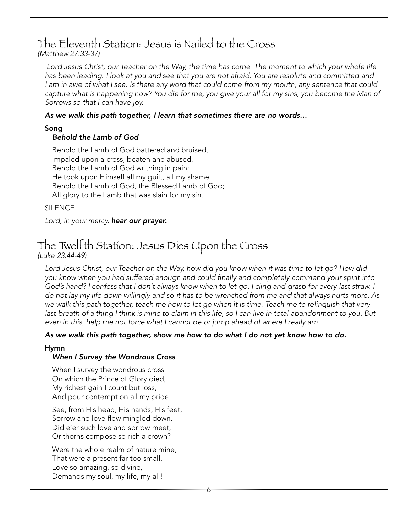# The Eleventh Station: Jesus is Nailed to the Cross

*(Matthew 27:33-37)*

Lord Jesus Christ, our Teacher on the Way, the time has come. The moment to which your whole life has been leading. I look at you and see that you are not afraid. You are resolute and committed and *I am in awe of what I see. Is there any word that could come from my mouth, any sentence that could capture what is happening now? You die for me, you give your all for my sins, you become the Man of Sorrows so that I can have joy.*

### *As we walk this path together, I learn that sometimes there are no words…*

### Song

### *Behold the Lamb of God*

Behold the Lamb of God battered and bruised, Impaled upon a cross, beaten and abused. Behold the Lamb of God writhing in pain; He took upon Himself all my guilt, all my shame. Behold the Lamb of God, the Blessed Lamb of God; All glory to the Lamb that was slain for my sin.

SILENCE

*Lord, in your mercy, hear our prayer.*

### The Twelfth Station: Jesus Dies Upon the Cross *(Luke 23:44-49)*

*Lord Jesus Christ, our Teacher on the Way, how did you know when it was time to let go? How did you know when you had suffered enough and could finally and completely commend your spirit into God's hand? I confess that I don't always know when to let go. I cling and grasp for every last straw. I do not lay my life down willingly and so it has to be wrenched from me and that always hurts more. As we walk this path together, teach me how to let go when it is time. Teach me to relinquish that very*  last breath of a thing I think is mine to claim in this life, so I can live in total abandonment to you. But *even in this, help me not force what I cannot be or jump ahead of where I really am.*

### *As we walk this path together, show me how to do what I do not yet know how to do.*

### Hymn

### *When I Survey the Wondrous Cross*

When I survey the wondrous cross On which the Prince of Glory died, My richest gain I count but loss, And pour contempt on all my pride.

See, from His head, His hands, His feet, Sorrow and love flow mingled down. Did e'er such love and sorrow meet, Or thorns compose so rich a crown?

Were the whole realm of nature mine, That were a present far too small. Love so amazing, so divine, Demands my soul, my life, my all!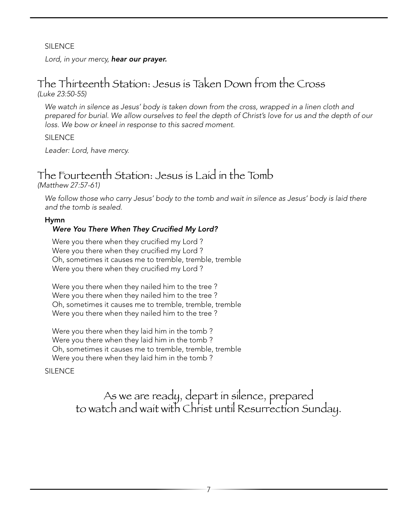### SILENCE

*Lord, in your mercy, hear our prayer.*

## The Thirteenth Station: Jesus is Taken Down from the Cross *(Luke 23:50-55)*

We watch in silence as Jesus' body is taken down from the cross, wrapped in a linen cloth and *prepared for burial. We allow ourselves to feel the depth of Christ's love for us and the depth of our loss. We bow or kneel in response to this sacred moment.*

SILENCE

*Leader: Lord, have mercy.*

## The Fourteenth Station: Jesus is Laid in the Tomb

*(Matthew 27:57-61)*

We follow those who carry Jesus' body to the tomb and wait in silence as Jesus' body is laid there *and the tomb is sealed.* 

### Hymn

### *Were You There When They Crucified My Lord?*

Were you there when they crucified my Lord ? Were you there when they crucified my Lord ? Oh, sometimes it causes me to tremble, tremble, tremble Were you there when they crucified my Lord ?

Were you there when they nailed him to the tree ? Were you there when they nailed him to the tree ? Oh, sometimes it causes me to tremble, tremble, tremble Were you there when they nailed him to the tree ?

Were you there when they laid him in the tomb ? Were you there when they laid him in the tomb ? Oh, sometimes it causes me to tremble, tremble, tremble Were you there when they laid him in the tomb ?

### SILENCE

As we are ready, depart in silence, prepared to watch and wait with Christ until Resurrection Sunday.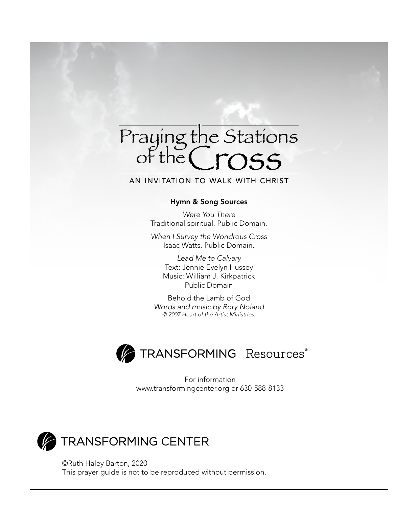# Praying the Stations of the

### AN INVITATION TO WALK WITH CHRIST

#### Hymn & Song Sources

*Were You There* Traditional spiritual. Public Domain.

*When I Survey the Wondrous Cross* Isaac Watts. Public Domain.

*Lead Me to Calvary* Text: Jennie Evelyn Hussey Music: William J. Kirkpatrick Public Domain

Behold the Lamb of God *Words and music by Rory Noland © 2007 Heart of the Artist Ministries.*



For information www.transformingcenter.org or 630-588-8133



©Ruth Haley Barton, 2020 This prayer guide is not to be reproduced without permission.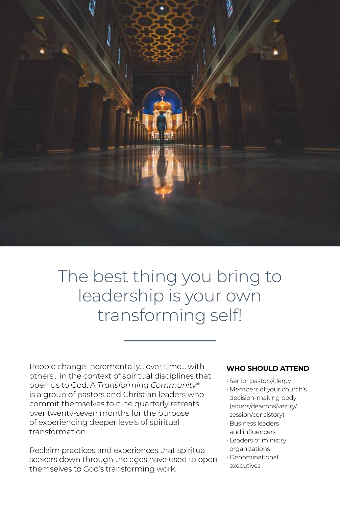

# The best thing you bring to leadership is your own transforming self!

People change incrementally... over time... with others... in the context of spiritual disciplines that open us to God. A *Transforming Community®*  is a group of pastors and Christian leaders who commit themselves to nine quarterly retreats over twenty-seven months for the purpose of experiencing deeper levels of spiritual transformation.

Reclaim practices and experiences that spiritual seekers down through the ages have used to open themselves to God's transforming work.

### **WHO SHOULD ATTEND**

- Senior pastors/clergy
- Members of your church's decision-making body (elders/deacons/vestry/ session/consistory)
- Business leaders and influencers
- Leaders of ministry organizations
- Denominational executives